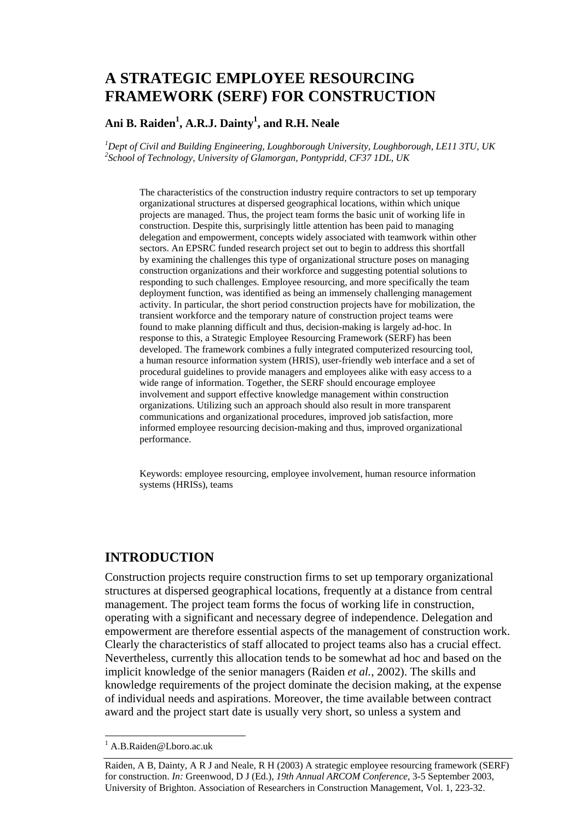# **A STRATEGIC EMPLOYEE RESOURCING FRAMEWORK (SERF) FOR CONSTRUCTION**

#### **Ani B. Raiden1 , A.R.J. Dainty1 , and R.H. Neale**

*1 Dept of Civil and Building Engineering, Loughborough University, Loughborough, LE11 3TU, UK 2 School of Technology, University of Glamorgan, Pontypridd, CF37 1DL, UK* 

The characteristics of the construction industry require contractors to set up temporary organizational structures at dispersed geographical locations, within which unique projects are managed. Thus, the project team forms the basic unit of working life in construction. Despite this, surprisingly little attention has been paid to managing delegation and empowerment, concepts widely associated with teamwork within other sectors. An EPSRC funded research project set out to begin to address this shortfall by examining the challenges this type of organizational structure poses on managing construction organizations and their workforce and suggesting potential solutions to responding to such challenges. Employee resourcing, and more specifically the team deployment function, was identified as being an immensely challenging management activity. In particular, the short period construction projects have for mobilization, the transient workforce and the temporary nature of construction project teams were found to make planning difficult and thus, decision-making is largely ad-hoc. In response to this, a Strategic Employee Resourcing Framework (SERF) has been developed. The framework combines a fully integrated computerized resourcing tool, a human resource information system (HRIS), user-friendly web interface and a set of procedural guidelines to provide managers and employees alike with easy access to a wide range of information. Together, the SERF should encourage employee involvement and support effective knowledge management within construction organizations. Utilizing such an approach should also result in more transparent communications and organizational procedures, improved job satisfaction, more informed employee resourcing decision-making and thus, improved organizational performance.

Keywords: employee resourcing, employee involvement, human resource information systems (HRISs), teams

### **INTRODUCTION**

Construction projects require construction firms to set up temporary organizational structures at dispersed geographical locations, frequently at a distance from central management. The project team forms the focus of working life in construction, operating with a significant and necessary degree of independence. Delegation and empowerment are therefore essential aspects of the management of construction work. Clearly the characteristics of staff allocated to project teams also has a crucial effect. Nevertheless, currently this allocation tends to be somewhat ad hoc and based on the implicit knowledge of the senior managers (Raiden *et al.*, 2002). The skills and knowledge requirements of the project dominate the decision making, at the expense of individual needs and aspirations. Moreover, the time available between contract award and the project start date is usually very short, so unless a system and

<sup>&</sup>lt;sup>1</sup> A.B.Raiden@Lboro.ac.uk

Raiden, A B, Dainty, A R J and Neale, R H (2003) A strategic employee resourcing framework (SERF) for construction. *In:* Greenwood, D J (Ed.), *19th Annual ARCOM Conference*, 3-5 September 2003, University of Brighton. Association of Researchers in Construction Management, Vol. 1, 223-32.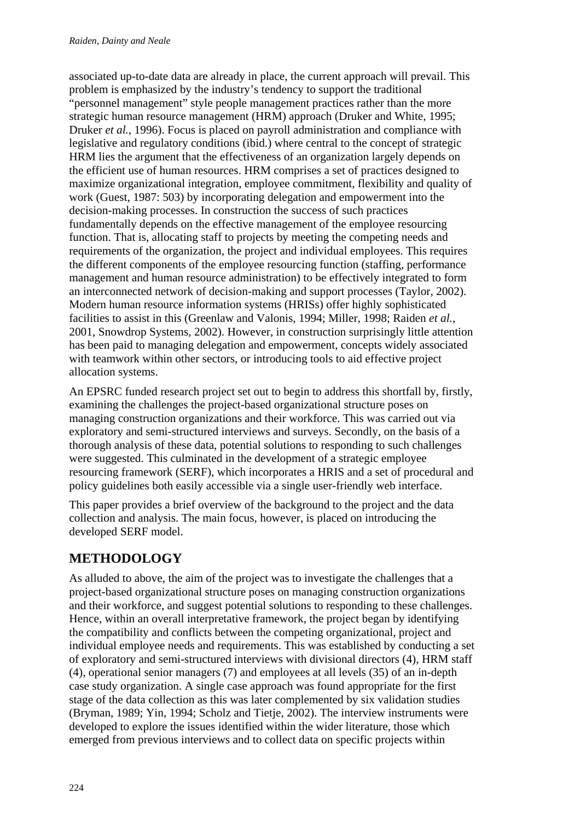associated up-to-date data are already in place, the current approach will prevail. This problem is emphasized by the industry's tendency to support the traditional "personnel management" style people management practices rather than the more strategic human resource management (HRM) approach (Druker and White, 1995; Druker *et al.*, 1996). Focus is placed on payroll administration and compliance with legislative and regulatory conditions (ibid.) where central to the concept of strategic HRM lies the argument that the effectiveness of an organization largely depends on the efficient use of human resources. HRM comprises a set of practices designed to maximize organizational integration, employee commitment, flexibility and quality of work (Guest, 1987: 503) by incorporating delegation and empowerment into the decision-making processes. In construction the success of such practices fundamentally depends on the effective management of the employee resourcing function. That is, allocating staff to projects by meeting the competing needs and requirements of the organization, the project and individual employees. This requires the different components of the employee resourcing function (staffing, performance management and human resource administration) to be effectively integrated to form an interconnected network of decision-making and support processes (Taylor, 2002). Modern human resource information systems (HRISs) offer highly sophisticated facilities to assist in this (Greenlaw and Valonis, 1994; Miller, 1998; Raiden *et al.*, 2001, Snowdrop Systems, 2002). However, in construction surprisingly little attention has been paid to managing delegation and empowerment, concepts widely associated with teamwork within other sectors, or introducing tools to aid effective project allocation systems.

An EPSRC funded research project set out to begin to address this shortfall by, firstly, examining the challenges the project-based organizational structure poses on managing construction organizations and their workforce. This was carried out via exploratory and semi-structured interviews and surveys. Secondly, on the basis of a thorough analysis of these data, potential solutions to responding to such challenges were suggested. This culminated in the development of a strategic employee resourcing framework (SERF), which incorporates a HRIS and a set of procedural and policy guidelines both easily accessible via a single user-friendly web interface.

This paper provides a brief overview of the background to the project and the data collection and analysis. The main focus, however, is placed on introducing the developed SERF model.

# **METHODOLOGY**

As alluded to above, the aim of the project was to investigate the challenges that a project-based organizational structure poses on managing construction organizations and their workforce, and suggest potential solutions to responding to these challenges. Hence, within an overall interpretative framework, the project began by identifying the compatibility and conflicts between the competing organizational, project and individual employee needs and requirements. This was established by conducting a set of exploratory and semi-structured interviews with divisional directors (4), HRM staff (4), operational senior managers (7) and employees at all levels (35) of an in-depth case study organization. A single case approach was found appropriate for the first stage of the data collection as this was later complemented by six validation studies (Bryman, 1989; Yin, 1994; Scholz and Tietje, 2002). The interview instruments were developed to explore the issues identified within the wider literature, those which emerged from previous interviews and to collect data on specific projects within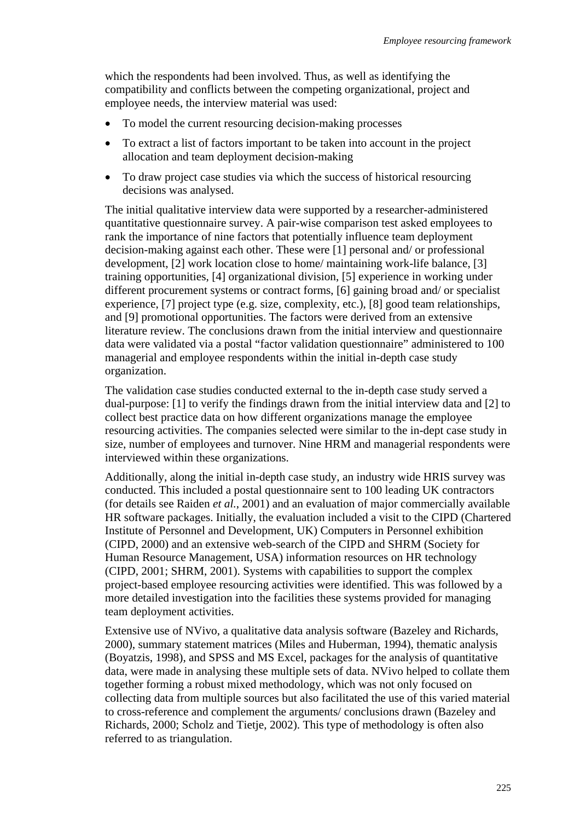which the respondents had been involved. Thus, as well as identifying the compatibility and conflicts between the competing organizational, project and employee needs, the interview material was used:

- To model the current resourcing decision-making processes
- To extract a list of factors important to be taken into account in the project allocation and team deployment decision-making
- To draw project case studies via which the success of historical resourcing decisions was analysed.

The initial qualitative interview data were supported by a researcher-administered quantitative questionnaire survey. A pair-wise comparison test asked employees to rank the importance of nine factors that potentially influence team deployment decision-making against each other. These were [1] personal and/ or professional development, [2] work location close to home/ maintaining work-life balance, [3] training opportunities, [4] organizational division, [5] experience in working under different procurement systems or contract forms, [6] gaining broad and/ or specialist experience, [7] project type (e.g. size, complexity, etc.), [8] good team relationships, and [9] promotional opportunities. The factors were derived from an extensive literature review. The conclusions drawn from the initial interview and questionnaire data were validated via a postal "factor validation questionnaire" administered to 100 managerial and employee respondents within the initial in-depth case study organization.

The validation case studies conducted external to the in-depth case study served a dual-purpose: [1] to verify the findings drawn from the initial interview data and [2] to collect best practice data on how different organizations manage the employee resourcing activities. The companies selected were similar to the in-dept case study in size, number of employees and turnover. Nine HRM and managerial respondents were interviewed within these organizations.

Additionally, along the initial in-depth case study, an industry wide HRIS survey was conducted. This included a postal questionnaire sent to 100 leading UK contractors (for details see Raiden *et al.*, 2001) and an evaluation of major commercially available HR software packages. Initially, the evaluation included a visit to the CIPD (Chartered Institute of Personnel and Development, UK) Computers in Personnel exhibition (CIPD, 2000) and an extensive web-search of the CIPD and SHRM (Society for Human Resource Management, USA) information resources on HR technology (CIPD, 2001; SHRM, 2001). Systems with capabilities to support the complex project-based employee resourcing activities were identified. This was followed by a more detailed investigation into the facilities these systems provided for managing team deployment activities.

Extensive use of NVivo, a qualitative data analysis software (Bazeley and Richards, 2000), summary statement matrices (Miles and Huberman, 1994), thematic analysis (Boyatzis, 1998), and SPSS and MS Excel, packages for the analysis of quantitative data, were made in analysing these multiple sets of data. NVivo helped to collate them together forming a robust mixed methodology, which was not only focused on collecting data from multiple sources but also facilitated the use of this varied material to cross-reference and complement the arguments/ conclusions drawn (Bazeley and Richards, 2000; Scholz and Tietje, 2002). This type of methodology is often also referred to as triangulation.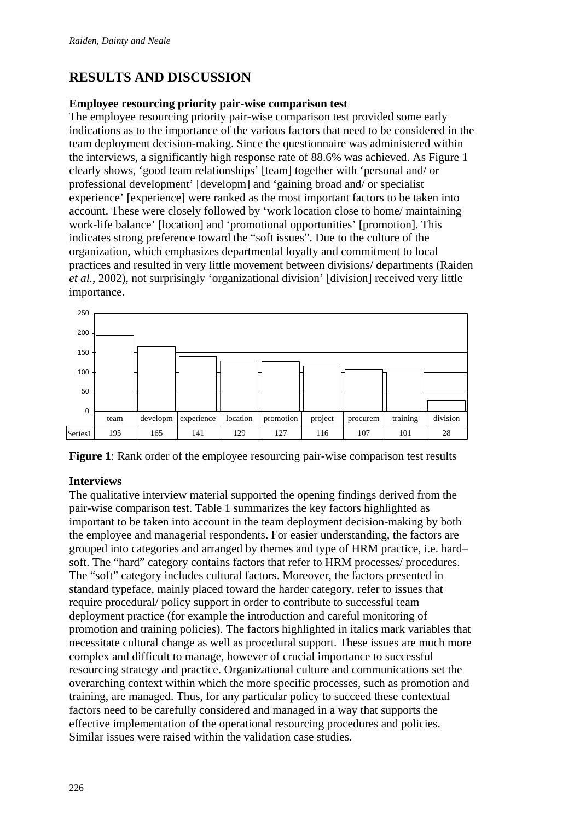# **RESULTS AND DISCUSSION**

#### **Employee resourcing priority pair-wise comparison test**

The employee resourcing priority pair-wise comparison test provided some early indications as to the importance of the various factors that need to be considered in the team deployment decision-making. Since the questionnaire was administered within the interviews, a significantly high response rate of 88.6% was achieved. As Figure 1 clearly shows, 'good team relationships' [team] together with 'personal and/ or professional development' [developm] and 'gaining broad and/ or specialist experience' [experience] were ranked as the most important factors to be taken into account. These were closely followed by 'work location close to home/ maintaining work-life balance' [location] and 'promotional opportunities' [promotion]. This indicates strong preference toward the "soft issues". Due to the culture of the organization, which emphasizes departmental loyalty and commitment to local practices and resulted in very little movement between divisions/ departments (Raiden *et al.*, 2002), not surprisingly 'organizational division' [division] received very little importance.



**Figure 1**: Rank order of the employee resourcing pair-wise comparison test results

#### **Interviews**

The qualitative interview material supported the opening findings derived from the pair-wise comparison test. Table 1 summarizes the key factors highlighted as important to be taken into account in the team deployment decision-making by both the employee and managerial respondents. For easier understanding, the factors are grouped into categories and arranged by themes and type of HRM practice, i.e. hard– soft. The "hard" category contains factors that refer to HRM processes/ procedures. The "soft" category includes cultural factors. Moreover, the factors presented in standard typeface, mainly placed toward the harder category, refer to issues that require procedural/ policy support in order to contribute to successful team deployment practice (for example the introduction and careful monitoring of promotion and training policies). The factors highlighted in italics mark variables that necessitate cultural change as well as procedural support. These issues are much more complex and difficult to manage, however of crucial importance to successful resourcing strategy and practice. Organizational culture and communications set the overarching context within which the more specific processes, such as promotion and training, are managed. Thus, for any particular policy to succeed these contextual factors need to be carefully considered and managed in a way that supports the effective implementation of the operational resourcing procedures and policies. Similar issues were raised within the validation case studies.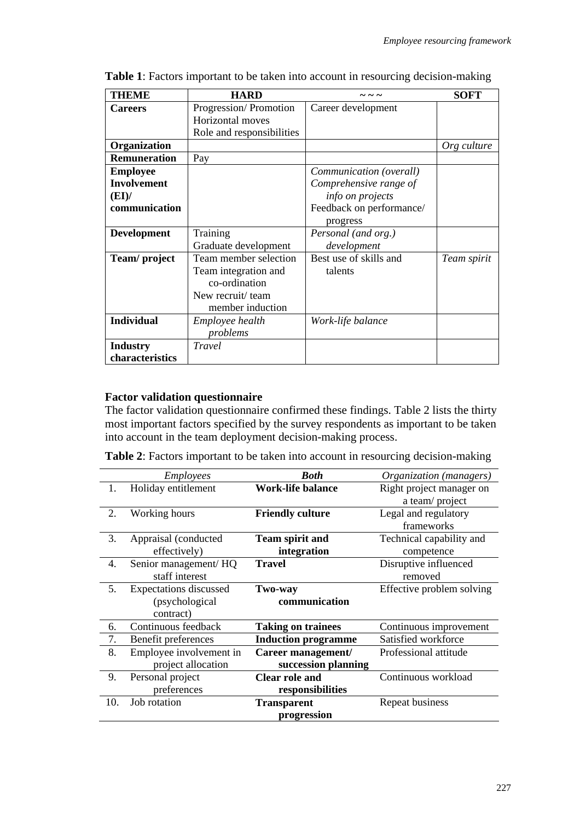| <b>THEME</b>        | <b>HARD</b>               |                          | <b>SOFT</b> |
|---------------------|---------------------------|--------------------------|-------------|
| <b>Careers</b>      | Progression/Promotion     | Career development       |             |
|                     | Horizontal moves          |                          |             |
|                     | Role and responsibilities |                          |             |
| Organization        |                           |                          | Org culture |
| <b>Remuneration</b> | Pay                       |                          |             |
| <b>Employee</b>     |                           | Communication (overall)  |             |
| <b>Involvement</b>  |                           | Comprehensive range of   |             |
| (EI)                |                           | info on projects         |             |
| communication       |                           | Feedback on performance/ |             |
|                     |                           | progress                 |             |
| <b>Development</b>  | Training                  | Personal (and org.)      |             |
|                     | Graduate development      | development              |             |
| Team/project        | Team member selection     | Best use of skills and   | Team spirit |
|                     | Team integration and      | talents                  |             |
|                     | co-ordination             |                          |             |
|                     | New recruit/ team         |                          |             |
|                     | member induction          |                          |             |
| <b>Individual</b>   | Employee health           | Work-life balance        |             |
|                     | problems                  |                          |             |
| <b>Industry</b>     | Travel                    |                          |             |
| characteristics     |                           |                          |             |

**Table 1**: Factors important to be taken into account in resourcing decision-making

#### **Factor validation questionnaire**

The factor validation questionnaire confirmed these findings. Table 2 lists the thirty most important factors specified by the survey respondents as important to be taken into account in the team deployment decision-making process.

**Table 2**: Factors important to be taken into account in resourcing decision-making

|             | <i>Employees</i>                 | <b>Both</b>                | Organization (managers)   |  |
|-------------|----------------------------------|----------------------------|---------------------------|--|
| 1.          | Holiday entitlement              | <b>Work-life balance</b>   | Right project manager on  |  |
|             |                                  |                            | a team/project            |  |
| 2.          | Working hours                    | <b>Friendly culture</b>    | Legal and regulatory      |  |
|             |                                  |                            | frameworks                |  |
| 3.          | Appraisal (conducted             | <b>Team spirit and</b>     | Technical capability and  |  |
|             | effectively)                     | integration                | competence                |  |
| 4.          | Senior management/HQ             | <b>Travel</b>              | Disruptive influenced     |  |
|             | staff interest                   |                            | removed                   |  |
| 5.          | <b>Expectations discussed</b>    | Two-way                    | Effective problem solving |  |
|             | (psychological)<br>communication |                            |                           |  |
|             | contract)                        |                            |                           |  |
| 6.          | Continuous feedback              | <b>Taking on trainees</b>  | Continuous improvement    |  |
| 7.          | Benefit preferences              | <b>Induction programme</b> | Satisfied workforce       |  |
| 8.          | Employee involvement in          | Career management/         | Professional attitude     |  |
|             | project allocation               | succession planning        |                           |  |
| 9.          | Personal project                 | <b>Clear role and</b>      | Continuous workload       |  |
|             | preferences                      | responsibilities           |                           |  |
| 10.         | Job rotation                     | <b>Transparent</b>         | Repeat business           |  |
| progression |                                  |                            |                           |  |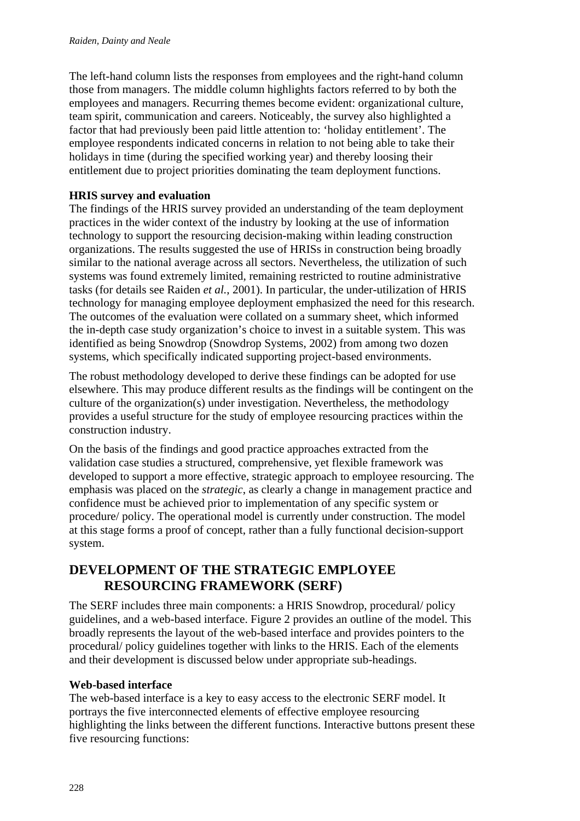The left-hand column lists the responses from employees and the right-hand column those from managers. The middle column highlights factors referred to by both the employees and managers. Recurring themes become evident: organizational culture, team spirit, communication and careers. Noticeably, the survey also highlighted a factor that had previously been paid little attention to: 'holiday entitlement'. The employee respondents indicated concerns in relation to not being able to take their holidays in time (during the specified working year) and thereby loosing their entitlement due to project priorities dominating the team deployment functions.

#### **HRIS survey and evaluation**

The findings of the HRIS survey provided an understanding of the team deployment practices in the wider context of the industry by looking at the use of information technology to support the resourcing decision-making within leading construction organizations. The results suggested the use of HRISs in construction being broadly similar to the national average across all sectors. Nevertheless, the utilization of such systems was found extremely limited, remaining restricted to routine administrative tasks (for details see Raiden *et al.*, 2001). In particular, the under-utilization of HRIS technology for managing employee deployment emphasized the need for this research. The outcomes of the evaluation were collated on a summary sheet, which informed the in-depth case study organization's choice to invest in a suitable system. This was identified as being Snowdrop (Snowdrop Systems, 2002) from among two dozen systems, which specifically indicated supporting project-based environments.

The robust methodology developed to derive these findings can be adopted for use elsewhere. This may produce different results as the findings will be contingent on the culture of the organization(s) under investigation. Nevertheless, the methodology provides a useful structure for the study of employee resourcing practices within the construction industry.

On the basis of the findings and good practice approaches extracted from the validation case studies a structured, comprehensive, yet flexible framework was developed to support a more effective, strategic approach to employee resourcing. The emphasis was placed on the *strategic*, as clearly a change in management practice and confidence must be achieved prior to implementation of any specific system or procedure/ policy. The operational model is currently under construction. The model at this stage forms a proof of concept, rather than a fully functional decision-support system.

### **DEVELOPMENT OF THE STRATEGIC EMPLOYEE RESOURCING FRAMEWORK (SERF)**

The SERF includes three main components: a HRIS Snowdrop, procedural/ policy guidelines, and a web-based interface. Figure 2 provides an outline of the model. This broadly represents the layout of the web-based interface and provides pointers to the procedural/ policy guidelines together with links to the HRIS. Each of the elements and their development is discussed below under appropriate sub-headings.

#### **Web-based interface**

The web-based interface is a key to easy access to the electronic SERF model. It portrays the five interconnected elements of effective employee resourcing highlighting the links between the different functions. Interactive buttons present these five resourcing functions: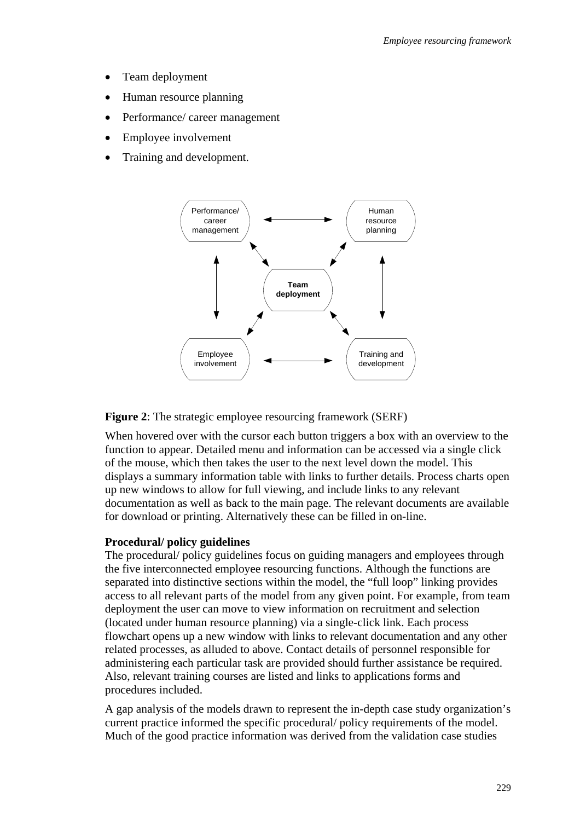- Team deployment
- Human resource planning
- Performance/ career management
- Employee involvement
- Training and development.



**Figure 2**: The strategic employee resourcing framework (SERF)

When hovered over with the cursor each button triggers a box with an overview to the function to appear. Detailed menu and information can be accessed via a single click of the mouse, which then takes the user to the next level down the model. This displays a summary information table with links to further details. Process charts open up new windows to allow for full viewing, and include links to any relevant documentation as well as back to the main page. The relevant documents are available for download or printing. Alternatively these can be filled in on-line.

#### **Procedural/ policy guidelines**

The procedural/ policy guidelines focus on guiding managers and employees through the five interconnected employee resourcing functions. Although the functions are separated into distinctive sections within the model, the "full loop" linking provides access to all relevant parts of the model from any given point. For example, from team deployment the user can move to view information on recruitment and selection (located under human resource planning) via a single-click link. Each process flowchart opens up a new window with links to relevant documentation and any other related processes, as alluded to above. Contact details of personnel responsible for administering each particular task are provided should further assistance be required. Also, relevant training courses are listed and links to applications forms and procedures included.

A gap analysis of the models drawn to represent the in-depth case study organization's current practice informed the specific procedural/ policy requirements of the model. Much of the good practice information was derived from the validation case studies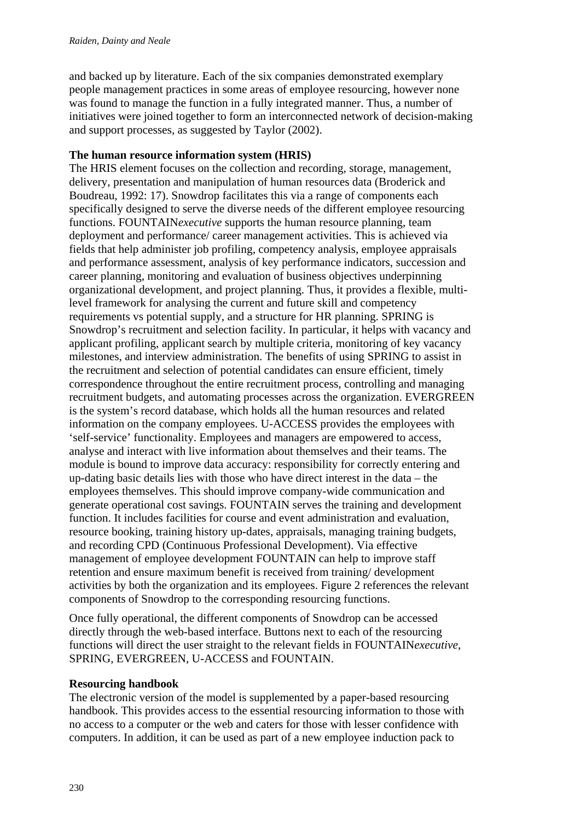and backed up by literature. Each of the six companies demonstrated exemplary people management practices in some areas of employee resourcing, however none was found to manage the function in a fully integrated manner. Thus, a number of initiatives were joined together to form an interconnected network of decision-making and support processes, as suggested by Taylor (2002).

#### **The human resource information system (HRIS)**

The HRIS element focuses on the collection and recording, storage, management, delivery, presentation and manipulation of human resources data (Broderick and Boudreau, 1992: 17). Snowdrop facilitates this via a range of components each specifically designed to serve the diverse needs of the different employee resourcing functions. FOUNTAIN*executive* supports the human resource planning, team deployment and performance/ career management activities. This is achieved via fields that help administer job profiling, competency analysis, employee appraisals and performance assessment, analysis of key performance indicators, succession and career planning, monitoring and evaluation of business objectives underpinning organizational development, and project planning. Thus, it provides a flexible, multilevel framework for analysing the current and future skill and competency requirements vs potential supply, and a structure for HR planning. SPRING is Snowdrop's recruitment and selection facility. In particular, it helps with vacancy and applicant profiling, applicant search by multiple criteria, monitoring of key vacancy milestones, and interview administration. The benefits of using SPRING to assist in the recruitment and selection of potential candidates can ensure efficient, timely correspondence throughout the entire recruitment process, controlling and managing recruitment budgets, and automating processes across the organization. EVERGREEN is the system's record database, which holds all the human resources and related information on the company employees. U-ACCESS provides the employees with 'self-service' functionality. Employees and managers are empowered to access, analyse and interact with live information about themselves and their teams. The module is bound to improve data accuracy: responsibility for correctly entering and up-dating basic details lies with those who have direct interest in the data – the employees themselves. This should improve company-wide communication and generate operational cost savings. FOUNTAIN serves the training and development function. It includes facilities for course and event administration and evaluation, resource booking, training history up-dates, appraisals, managing training budgets, and recording CPD (Continuous Professional Development). Via effective management of employee development FOUNTAIN can help to improve staff retention and ensure maximum benefit is received from training/ development activities by both the organization and its employees. Figure 2 references the relevant components of Snowdrop to the corresponding resourcing functions.

Once fully operational, the different components of Snowdrop can be accessed directly through the web-based interface. Buttons next to each of the resourcing functions will direct the user straight to the relevant fields in FOUNTAIN*executive*, SPRING, EVERGREEN, U-ACCESS and FOUNTAIN.

#### **Resourcing handbook**

The electronic version of the model is supplemented by a paper-based resourcing handbook. This provides access to the essential resourcing information to those with no access to a computer or the web and caters for those with lesser confidence with computers. In addition, it can be used as part of a new employee induction pack to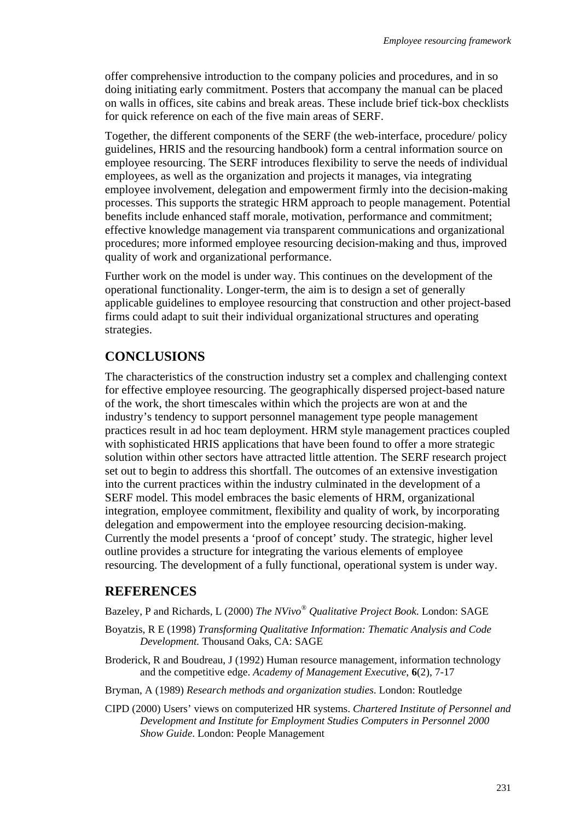offer comprehensive introduction to the company policies and procedures, and in so doing initiating early commitment. Posters that accompany the manual can be placed on walls in offices, site cabins and break areas. These include brief tick-box checklists for quick reference on each of the five main areas of SERF.

Together, the different components of the SERF (the web-interface, procedure/ policy guidelines, HRIS and the resourcing handbook) form a central information source on employee resourcing. The SERF introduces flexibility to serve the needs of individual employees, as well as the organization and projects it manages, via integrating employee involvement, delegation and empowerment firmly into the decision-making processes. This supports the strategic HRM approach to people management. Potential benefits include enhanced staff morale, motivation, performance and commitment; effective knowledge management via transparent communications and organizational procedures; more informed employee resourcing decision-making and thus, improved quality of work and organizational performance.

Further work on the model is under way. This continues on the development of the operational functionality. Longer-term, the aim is to design a set of generally applicable guidelines to employee resourcing that construction and other project-based firms could adapt to suit their individual organizational structures and operating strategies.

### **CONCLUSIONS**

The characteristics of the construction industry set a complex and challenging context for effective employee resourcing. The geographically dispersed project-based nature of the work, the short timescales within which the projects are won at and the industry's tendency to support personnel management type people management practices result in ad hoc team deployment. HRM style management practices coupled with sophisticated HRIS applications that have been found to offer a more strategic solution within other sectors have attracted little attention. The SERF research project set out to begin to address this shortfall. The outcomes of an extensive investigation into the current practices within the industry culminated in the development of a SERF model. This model embraces the basic elements of HRM, organizational integration, employee commitment, flexibility and quality of work, by incorporating delegation and empowerment into the employee resourcing decision-making. Currently the model presents a 'proof of concept' study. The strategic, higher level outline provides a structure for integrating the various elements of employee resourcing. The development of a fully functional, operational system is under way.

### **REFERENCES**

Bazeley, P and Richards, L (2000) *The NVivo® Qualitative Project Book*. London: SAGE

- Boyatzis, R E (1998) *Transforming Qualitative Information: Thematic Analysis and Code Development.* Thousand Oaks, CA: SAGE
- Broderick, R and Boudreau, J (1992) Human resource management, information technology and the competitive edge. *Academy of Management Executive*, **6**(2), 7-17
- Bryman, A (1989) *Research methods and organization studies*. London: Routledge
- CIPD (2000) Users' views on computerized HR systems. *Chartered Institute of Personnel and Development and Institute for Employment Studies Computers in Personnel 2000 Show Guide*. London: People Management